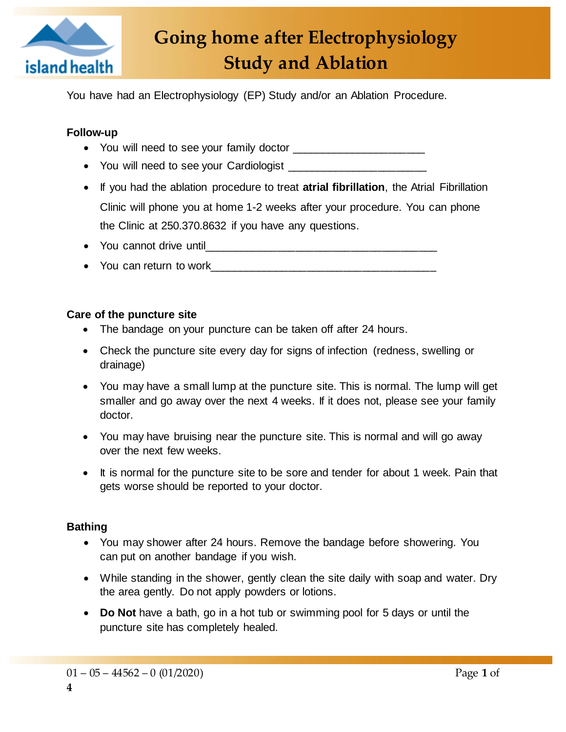

# **Going home after Electrophysiology Study and Ablation**

You have had an Electrophysiology (EP) Study and/or an Ablation Procedure.

# **Follow-up**

- You will need to see your family doctor
- You will need to see your Cardiologist
- If you had the ablation procedure to treat **atrial fibrillation**, the Atrial Fibrillation Clinic will phone you at home 1-2 weeks after your procedure. You can phone the Clinic at 250.370.8632 if you have any questions.
- You cannot drive until
- You can return to work

### **Care of the puncture site**

- The bandage on your puncture can be taken off after 24 hours.
- Check the puncture site every day for signs of infection (redness, swelling or drainage)
- You may have a small lump at the puncture site. This is normal. The lump will get smaller and go away over the next 4 weeks. If it does not, please see your family doctor.
- You may have bruising near the puncture site. This is normal and will go away over the next few weeks.
- It is normal for the puncture site to be sore and tender for about 1 week. Pain that gets worse should be reported to your doctor.

### **Bathing**

- You may shower after 24 hours. Remove the bandage before showering. You can put on another bandage if you wish.
- While standing in the shower, gently clean the site daily with soap and water. Dry the area gently. Do not apply powders or lotions.
- **Do Not** have a bath, go in a hot tub or swimming pool for 5 days or until the puncture site has completely healed.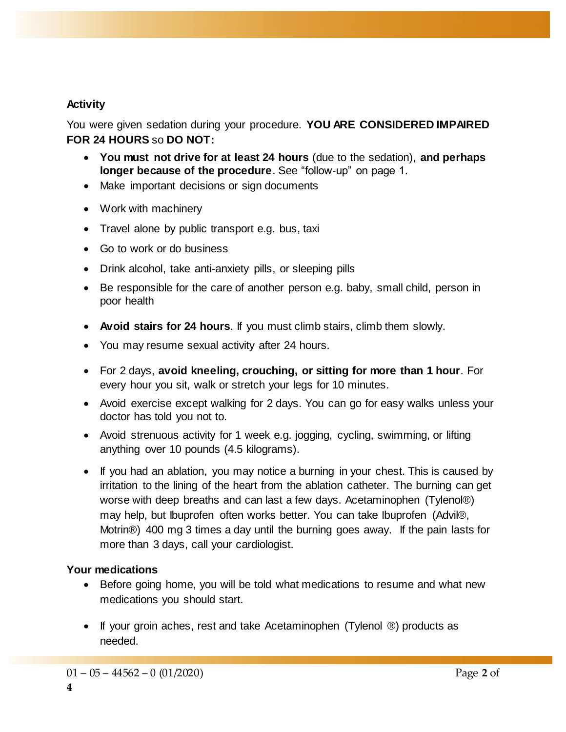# **Activity**

You were given sedation during your procedure. **YOU ARE CONSIDERED IMPAIRED FOR 24 HOURS** so **DO NOT:**

- **You must not drive for at least 24 hours** (due to the sedation), **and perhaps longer because of the procedure**. See "follow-up" on page 1.
- Make important decisions or sign documents
- Work with machinery
- Travel alone by public transport e.g. bus, taxi
- Go to work or do business
- Drink alcohol, take anti-anxiety pills, or sleeping pills
- Be responsible for the care of another person e.g. baby, small child, person in poor health
- **Avoid stairs for 24 hours**. If you must climb stairs, climb them slowly.
- You may resume sexual activity after 24 hours.
- For 2 days, **avoid kneeling, crouching, or sitting for more than 1 hour**. For every hour you sit, walk or stretch your legs for 10 minutes.
- Avoid exercise except walking for 2 days. You can go for easy walks unless your doctor has told you not to.
- Avoid strenuous activity for 1 week e.g. jogging, cycling, swimming, or lifting anything over 10 pounds (4.5 kilograms).
- If you had an ablation, you may notice a burning in your chest. This is caused by irritation to the lining of the heart from the ablation catheter. The burning can get worse with deep breaths and can last a few days. Acetaminophen (Tylenol®) may help, but Ibuprofen often works better. You can take Ibuprofen (Advil®, Motrin®) 400 mg 3 times a day until the burning goes away. If the pain lasts for more than 3 days, call your cardiologist.

### **Your medications**

- Before going home, you will be told what medications to resume and what new medications you should start.
- $\bullet$  If your groin aches, rest and take Acetaminophen (Tylenol  $\circledR$ ) products as needed.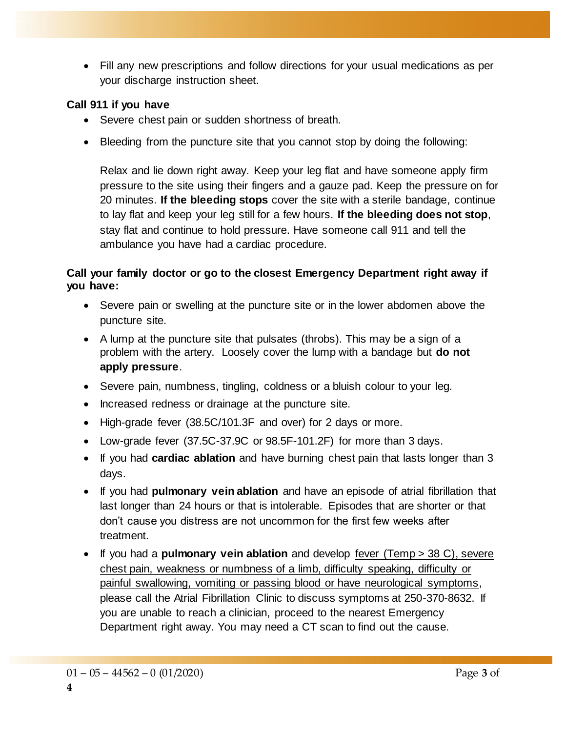Fill any new prescriptions and follow directions for your usual medications as per your discharge instruction sheet.

## **Call 911 if you have**

- Severe chest pain or sudden shortness of breath.
- Bleeding from the puncture site that you cannot stop by doing the following:

Relax and lie down right away. Keep your leg flat and have someone apply firm pressure to the site using their fingers and a gauze pad. Keep the pressure on for 20 minutes. **If the bleeding stops** cover the site with a sterile bandage, continue to lay flat and keep your leg still for a few hours. **If the bleeding does not stop**, stay flat and continue to hold pressure. Have someone call 911 and tell the ambulance you have had a cardiac procedure.

## **Call your family doctor or go to the closest Emergency Department right away if you have:**

- Severe pain or swelling at the puncture site or in the lower abdomen above the puncture site.
- A lump at the puncture site that pulsates (throbs). This may be a sign of a problem with the artery. Loosely cover the lump with a bandage but **do not apply pressure**.
- Severe pain, numbness, tingling, coldness or a bluish colour to your leg.
- Increased redness or drainage at the puncture site.
- High-grade fever (38.5C/101.3F and over) for 2 days or more.
- Low-grade fever (37.5C-37.9C or 98.5F-101.2F) for more than 3 days.
- If you had **cardiac ablation** and have burning chest pain that lasts longer than 3 days.
- If you had **pulmonary vein ablation** and have an episode of atrial fibrillation that last longer than 24 hours or that is intolerable. Episodes that are shorter or that don't cause you distress are not uncommon for the first few weeks after treatment.
- If you had a **pulmonary vein ablation** and develop fever (Temp > 38 C), severe chest pain, weakness or numbness of a limb, difficulty speaking, difficulty or painful swallowing, vomiting or passing blood or have neurological symptoms, please call the Atrial Fibrillation Clinic to discuss symptoms at 250-370-8632. If you are unable to reach a clinician, proceed to the nearest Emergency Department right away. You may need a CT scan to find out the cause.